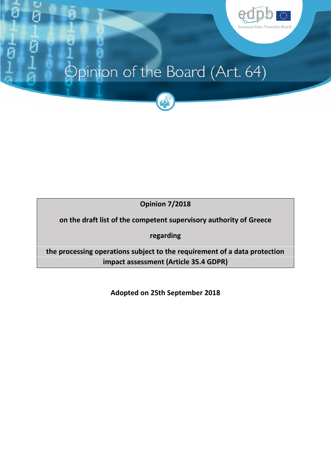

# Opinion of the Board (Art. 64)



**Opinion 7/2018**

 **on the draft list of the competent supervisory authority of Greece**

**regarding**

 **the processing operations subject to the requirement of a data protection impact assessment (Article 35.4 GDPR)**

**Adopted on 25th September 2018**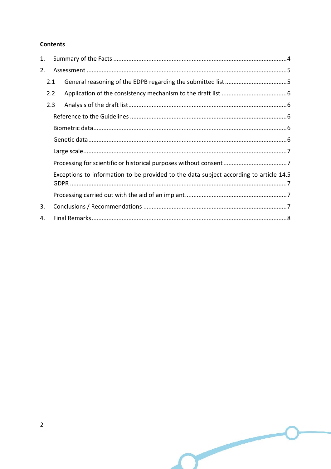### **Contents**

| 1. |                                                                                        |  |  |
|----|----------------------------------------------------------------------------------------|--|--|
| 2. |                                                                                        |  |  |
|    | 2.1                                                                                    |  |  |
|    | 2.2                                                                                    |  |  |
|    | 2.3                                                                                    |  |  |
|    |                                                                                        |  |  |
|    |                                                                                        |  |  |
|    |                                                                                        |  |  |
|    |                                                                                        |  |  |
|    |                                                                                        |  |  |
|    | Exceptions to information to be provided to the data subject according to article 14.5 |  |  |
|    |                                                                                        |  |  |
| 3. |                                                                                        |  |  |
| 4. |                                                                                        |  |  |

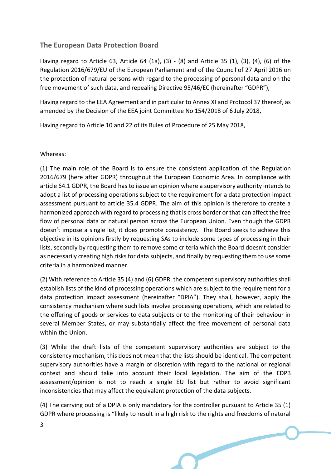## **The European Data Protection Board**

 Having regard to Article 63, Article 64 (1a), (3) - (8) and Article 35 (1), (3), (4), (6) of the Regulation 2016/679/EU of the European Parliament and of the Council of 27 April 2016 on the protection of natural persons with regard to the processing of personal data and on the free movement of such data, and repealing Directive 95/46/EC (hereinafter "GDPR"),

 Having regard to the EEA Agreement and in particular to Annex XI and Protocol 37 thereof, as amended by the Decision of the EEA joint Committee No 154/2018 of 6 July 2018,

Having regard to Article 10 and 22 of its Rules of Procedure of 25 May 2018,

#### Whereas:

 (1) The main role of the Board is to ensure the consistent application of the Regulation 2016/679 (here after GDPR) throughout the European Economic Area. In compliance with article 64.1 GDPR, the Board has to issue an opinion where a supervisory authority intends to adopt a list of processing operations subject to the requirement for a data protection impact assessment pursuant to article 35.4 GDPR. The aim of this opinion is therefore to create a harmonized approach with regard to processing that is cross border or that can affect the free flow of personal data or natural person across the European Union. Even though the GDPR doesn't impose a single list, it does promote consistency. The Board seeks to achieve this objective in its opinions firstly by requesting SAs to include some types of processing in their lists, secondly by requesting them to remove some criteria which the Board doesn't consider as necessarily creating high risks for data subjects, and finally by requesting them to use some criteria in a harmonized manner.

 (2) With reference to Article 35 (4) and (6) GDPR, the competent supervisory authorities shall establish lists of the kind of processing operations which are subject to the requirement for a data protection impact assessment (hereinafter "DPIA"). They shall, however, apply the consistency mechanism where such lists involve processing operations, which are related to the offering of goods or services to data subjects or to the monitoring of their behaviour in several Member States, or may substantially affect the free movement of personal data within the Union.

 (3) While the draft lists of the competent supervisory authorities are subject to the consistency mechanism, this does not mean that the lists should be identical. The competent supervisory authorities have a margin of discretion with regard to the national or regional context and should take into account their local legislation. The aim of the EDPB assessment/opinion is not to reach a single EU list but rather to avoid significant inconsistencies that may affect the equivalent protection of the data subjects.

 (4) The carrying out of a DPIA is only mandatory for the controller pursuant to Article 35 (1) GDPR where processing is "likely to result in a high risk to the rights and freedoms of natural

**Contract Contract Contract Contract Contract Contract Contract Contract Contract Contract Contract Contract Contract Contract Contract Contract Contract Contract Contract Contract Contract Contract Contract Contract Contr**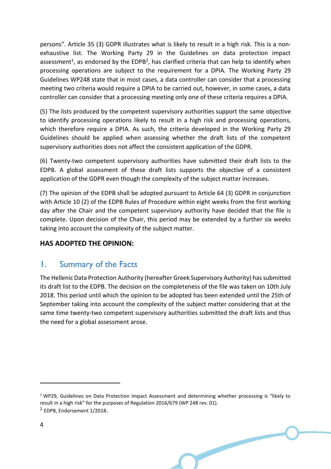persons". Article 35 (3) GDPR illustrates what is likely to result in a high risk. This is a non- exhaustive list. The Working Party 29 in the Guidelines on data protection impact assessment<sup>1</sup>, as endorsed by the EDPB<sup>2</sup>, has clarified criteria that can help to identify when processing operations are subject to the requirement for a DPIA. The Working Party 29 Guidelines WP248 state that in most cases, a data controller can consider that a processing meeting two criteria would require a DPIA to be carried out, however, in some cases, a data controller can consider that a processing meeting only one of these criteria requires a DPIA.

 (5) The lists produced by the competent supervisory authorities support the same objective to identify processing operations likely to result in a high risk and processing operations, which therefore require a DPIA. As such, the criteria developed in the Working Party 29 Guidelines should be applied when assessing whether the draft lists of the competent supervisory authorities does not affect the consistent application of the GDPR.

 (6) Twenty-two competent supervisory authorities have submitted their draft lists to the EDPB. A global assessment of these draft lists supports the objective of a consistent application of the GDPR even though the complexity of the subject matter increases.

 (7) The opinion of the EDPB shall be adopted pursuant to Article 64 (3) GDPR in conjunction with Article 10 (2) of the EDPB Rules of Procedure within eight weeks from the first working day after the Chair and the competent supervisory authority have decided that the file is complete. Upon decision of the Chair, this period may be extended by a further six weeks taking into account the complexity of the subject matter.

## **HAS ADOPTED THE OPINION:**

# 1. Summary of the Facts

The Hellenic Data Protection Authority (hereafter Greek Supervisory Authority) has submitted its draft list to the EDPB. The decision on the completeness of the file was taken on 10th July 2018. This period until which the opinion to be adopted has been extended until the 25th of September taking into account the complexity of the subject matter considering that at the same time twenty-two competent supervisory authorities submitted the draft lists and thus the need for a global assessment arose.

 $1$  WP29, Guidelines on Data Protection Impact Assessment and determining whether processing is "likely to result in a high risk" for the purposes of Regulation 2016/679 (WP 248 rev. 01). <sup>2</sup> EDPB, Endorsement 1/2018.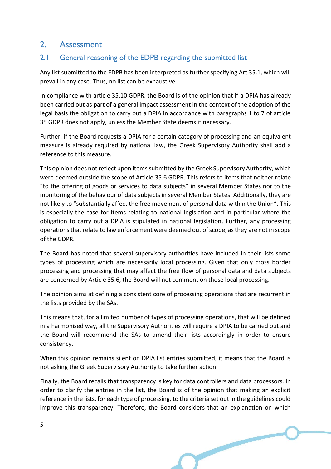# 2. Assessment

## 2.1 General reasoning of the EDPB regarding the submitted list

 Any list submitted to the EDPB has been interpreted as further specifying Art 35.1, which will prevail in any case. Thus, no list can be exhaustive.

 In compliance with article 35.10 GDPR, the Board is of the opinion that if a DPIA has already been carried out as part of a general impact assessment in the context of the adoption of the legal basis the obligation to carry out a DPIA in accordance with paragraphs 1 to 7 of article 35 GDPR does not apply, unless the Member State deems it necessary.

 Further, if the Board requests a DPIA for a certain category of processing and an equivalent measure is already required by national law, the Greek Supervisory Authority shall add a reference to this measure.

 This opinion does not reflect upon items submitted by the Greek Supervisory Authority, which were deemed outside the scope of Article 35.6 GDPR. This refers to items that neither relate "to the offering of goods or services to data subjects" in several Member States nor to the monitoring of the behaviour of data subjects in several Member States. Additionally, they are not likely to "substantially affect the free movement of personal data within the Union". This is especially the case for items relating to national legislation and in particular where the obligation to carry out a DPIA is stipulated in national legislation. Further, any processing operations that relate to law enforcement were deemed out of scope, as they are not in scope of the GDPR.

 The Board has noted that several supervisory authorities have included in their lists some types of processing which are necessarily local processing. Given that only cross border processing and processing that may affect the free flow of personal data and data subjects are concerned by Article 35.6, the Board will not comment on those local processing.

 The opinion aims at defining a consistent core of processing operations that are recurrent in the lists provided by the SAs.

 This means that, for a limited number of types of processing operations, that will be defined in a harmonised way, all the Supervisory Authorities will require a DPIA to be carried out and the Board will recommend the SAs to amend their lists accordingly in order to ensure consistency.

 When this opinion remains silent on DPIA list entries submitted, it means that the Board is not asking the Greek Supervisory Authority to take further action.

 Finally, the Board recalls that transparency is key for data controllers and data processors. In order to clarify the entries in the list, the Board is of the opinion that making an explicit reference in the lists, for each type of processing, to the criteria set out in the guidelines could improve this transparency. Therefore, the Board considers that an explanation on which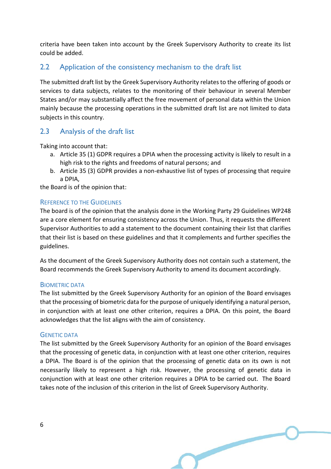criteria have been taken into account by the Greek Supervisory Authority to create its list could be added.

## 2.2 Application of the consistency mechanism to the draft list

The submitted draft list by the Greek Supervisory Authority relates to the offering of goods or services to data subjects, relates to the monitoring of their behaviour in several Member States and/or may substantially affect the free movement of personal data within the Union mainly because the processing operations in the submitted draft list are not limited to data subjects in this country.

## 2.3 Analysis of the draft list

Taking into account that:

- a. Article 35 (1) GDPR requires a DPIA when the processing activity is likely to result in a high risk to the rights and freedoms of natural persons; and
- b. Article 35 (3) GDPR provides a non-exhaustive list of types of processing that require a DPIA,

the Board is of the opinion that:

#### REFERENCE TO THE GUIDELINES

 The board is of the opinion that the analysis done in the Working Party 29 Guidelines WP248 are a core element for ensuring consistency across the Union. Thus, it requests the different Supervisor Authorities to add a statement to the document containing their list that clarifies that their list is based on these guidelines and that it complements and further specifies the guidelines.

 As the document of the Greek Supervisory Authority does not contain such a statement, the Board recommends the Greek Supervisory Authority to amend its document accordingly.

#### BIOMETRIC DATA

 The list submitted by the Greek Supervisory Authority for an opinion of the Board envisages that the processing of biometric data for the purpose of uniquely identifying a natural person, in conjunction with at least one other criterion, requires a DPIA. On this point, the Board acknowledges that the list aligns with the aim of consistency.

#### GENETIC DATA

 The list submitted by the Greek Supervisory Authority for an opinion of the Board envisages that the processing of genetic data, in conjunction with at least one other criterion, requires a DPIA. The Board is of the opinion that the processing of genetic data on its own is not necessarily likely to represent a high risk. However, the processing of genetic data in conjunction with at least one other criterion requires a DPIA to be carried out. The Board takes note of the inclusion of this criterion in the list of Greek Supervisory Authority.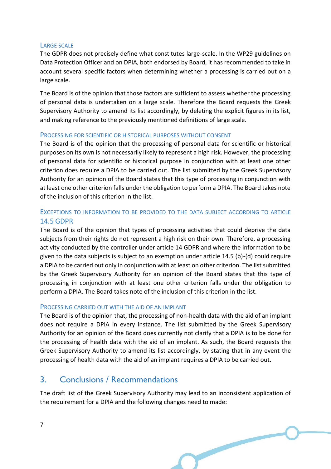#### LARGE SCALE

 The GDPR does not precisely define what constitutes large-scale. In the WP29 guidelines on Data Protection Officer and on DPIA, both endorsed by Board, it has recommended to take in account several specific factors when determining whether a processing is carried out on a large scale.

 The Board is of the opinion that those factors are sufficient to assess whether the processing of personal data is undertaken on a large scale. Therefore the Board requests the Greek Supervisory Authority to amend its list accordingly, by deleting the explicit figures in its list, and making reference to the previously mentioned definitions of large scale.

#### PROCESSING FOR SCIENTIFIC OR HISTORICAL PURPOSES WITHOUT CONSENT

 The Board is of the opinion that the processing of personal data for scientific or historical purposes on its own is not necessarily likely to represent a high risk. However, the processing of personal data for scientific or historical purpose in conjunction with at least one other criterion does require a DPIA to be carried out. The list submitted by the Greek Supervisory Authority for an opinion of the Board states that this type of processing in conjunction with at least one other criterion falls under the obligation to perform a DPIA. The Board takes note of the inclusion of this criterion in the list.

## EXCEPTIONS TO INFORMATION TO BE PROVIDED TO THE DATA SUBJECT ACCORDING TO ARTICLE 14.5 GDPR

 The Board is of the opinion that types of processing activities that could deprive the data subjects from their rights do not represent a high risk on their own. Therefore, a processing activity conducted by the controller under article 14 GDPR and where the information to be given to the data subjects is subject to an exemption under article 14.5 (b)-(d) could require a DPIA to be carried out only in conjunction with at least on other criterion. The list submitted by the Greek Supervisory Authority for an opinion of the Board states that this type of processing in conjunction with at least one other criterion falls under the obligation to perform a DPIA. The Board takes note of the inclusion of this criterion in the list.

#### PROCESSING CARRIED OUT WITH THE AID OF AN IMPLANT

 The Board is of the opinion that, the processing of non-health data with the aid of an implant does not require a DPIA in every instance. The list submitted by the Greek Supervisory Authority for an opinion of the Board does currently not clarify that a DPIA is to be done for the processing of health data with the aid of an implant. As such, the Board requests the Greek Supervisory Authority to amend its list accordingly, by stating that in any event the processing of health data with the aid of an implant requires a DPIA to be carried out.

# 3. Conclusions / Recommendations

 The draft list of the Greek Supervisory Authority may lead to an inconsistent application of the requirement for a DPIA and the following changes need to made: